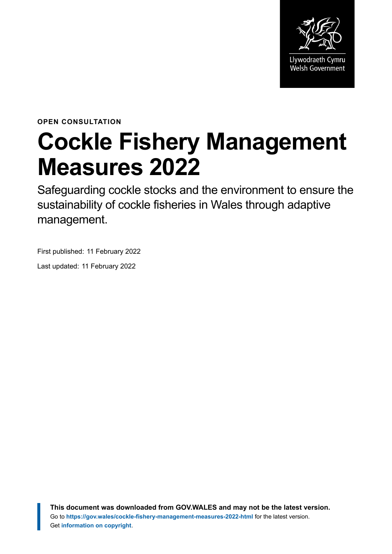

**OPEN CONSULTATION**

# **Cockle Fishery Management Measures 2022**

Safeguarding cockle stocks and the environment to ensure the sustainability of cockle fisheries in Wales through adaptive management.

First published: 11 February 2022

Last updated: 11 February 2022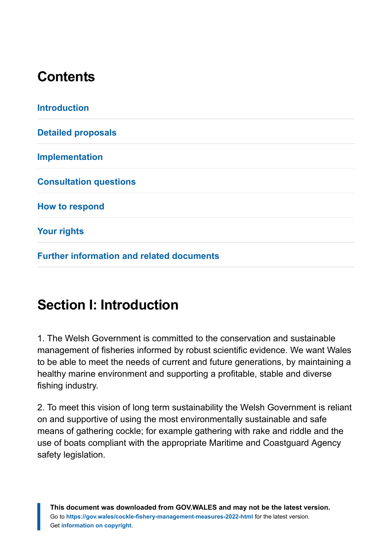# **Contents**

| <b>Detailed proposals</b><br><b>Implementation</b><br><b>Consultation questions</b> |
|-------------------------------------------------------------------------------------|
|                                                                                     |
|                                                                                     |
|                                                                                     |
| <b>How to respond</b>                                                               |
| <b>Your rights</b>                                                                  |

**[Further information and related documents](#page-17-0)**

# <span id="page-1-0"></span>**Section I: Introduction**

1. The Welsh Government is committed to the conservation and sustainable management of fisheries informed by robust scientific evidence. We want Wales to be able to meet the needs of current and future generations, by maintaining a healthy marine environment and supporting a profitable, stable and diverse fishing industry.

2. To meet this vision of long term sustainability the Welsh Government is reliant on and supportive of using the most environmentally sustainable and safe means of gathering cockle; for example gathering with rake and riddle and the use of boats compliant with the appropriate Maritime and Coastguard Agency safety legislation.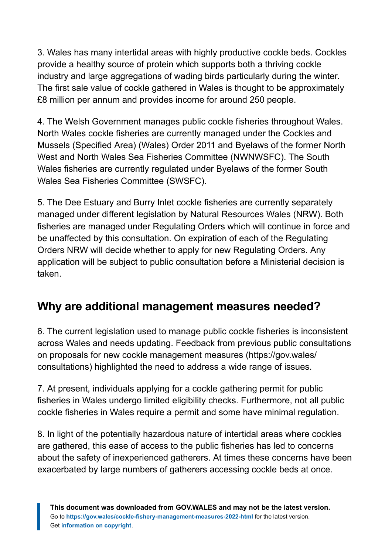3. Wales has many intertidal areas with highly productive cockle beds. Cockles provide a healthy source of protein which supports both a thriving cockle industry and large aggregations of wading birds particularly during the winter. The first sale value of cockle gathered in Wales is thought to be approximately £8 million per annum and provides income for around 250 people.

4. The Welsh Government manages public cockle fisheries throughout Wales. North Wales cockle fisheries are currently managed under the Cockles and Mussels (Specified Area) (Wales) Order 2011 and Byelaws of the former North West and North Wales Sea Fisheries Committee (NWNWSFC). The South Wales fisheries are currently regulated under Byelaws of the former South Wales Sea Fisheries Committee (SWSFC).

5. The Dee Estuary and Burry Inlet cockle fisheries are currently separately managed under different legislation by Natural Resources Wales (NRW). Both fisheries are managed under Regulating Orders which will continue in force and be unaffected by this consultation. On expiration of each of the Regulating Orders NRW will decide whether to apply for new Regulating Orders. Any application will be subject to public consultation before a Ministerial decision is taken.

### **Why are additional management measures needed?**

6. The current legislation used to manage public cockle fisheries is inconsistent across Wales and needs updating. Feedback from previous public consultations on proposals for new cockle management measures (https://gov.wales/ consultations) highlighted the need to address a wide range of issues.

7. At present, individuals applying for a cockle gathering permit for public fisheries in Wales undergo limited eligibility checks. Furthermore, not all public cockle fisheries in Wales require a permit and some have minimal regulation.

8. In light of the potentially hazardous nature of intertidal areas where cockles are gathered, this ease of access to the public fisheries has led to concerns about the safety of inexperienced gatherers. At times these concerns have been exacerbated by large numbers of gatherers accessing cockle beds at once.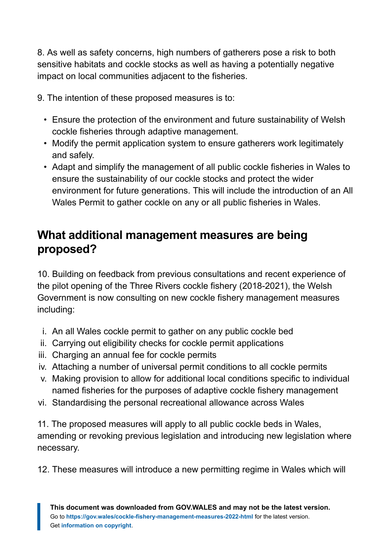8. As well as safety concerns, high numbers of gatherers pose a risk to both sensitive habitats and cockle stocks as well as having a potentially negative impact on local communities adjacent to the fisheries.

9. The intention of these proposed measures is to:

- Ensure the protection of the environment and future sustainability of Welsh cockle fisheries through adaptive management.
- Modify the permit application system to ensure gatherers work legitimately and safely.
- Adapt and simplify the management of all public cockle fisheries in Wales to ensure the sustainability of our cockle stocks and protect the wider environment for future generations. This will include the introduction of an All Wales Permit to gather cockle on any or all public fisheries in Wales.

#### **What additional management measures are being proposed?**

10. Building on feedback from previous consultations and recent experience of the pilot opening of the Three Rivers cockle fishery (2018-2021), the Welsh Government is now consulting on new cockle fishery management measures including:

- i. An all Wales cockle permit to gather on any public cockle bed
- ii. Carrying out eligibility checks for cockle permit applications
- iii. Charging an annual fee for cockle permits
- iv. Attaching a number of universal permit conditions to all cockle permits
- v. Making provision to allow for additional local conditions specific to individual named fisheries for the purposes of adaptive cockle fishery management
- vi. Standardising the personal recreational allowance across Wales

11. The proposed measures will apply to all public cockle beds in Wales, amending or revoking previous legislation and introducing new legislation where necessary.

12. These measures will introduce a new permitting regime in Wales which will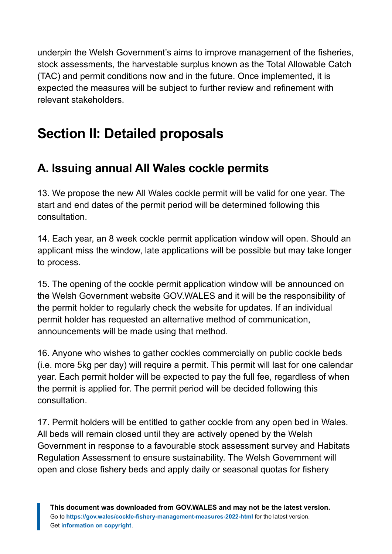underpin the Welsh Government's aims to improve management of the fisheries, stock assessments, the harvestable surplus known as the Total Allowable Catch (TAC) and permit conditions now and in the future. Once implemented, it is expected the measures will be subject to further review and refinement with relevant stakeholders.

# <span id="page-4-0"></span>**Section II: Detailed proposals**

### **A. Issuing annual All Wales cockle permits**

13. We propose the new All Wales cockle permit will be valid for one year. The start and end dates of the permit period will be determined following this consultation.

14. Each year, an 8 week cockle permit application window will open. Should an applicant miss the window, late applications will be possible but may take longer to process.

15. The opening of the cockle permit application window will be announced on the Welsh Government website GOV.WALES and it will be the responsibility of the permit holder to regularly check the website for updates. If an individual permit holder has requested an alternative method of communication, announcements will be made using that method.

16. Anyone who wishes to gather cockles commercially on public cockle beds (i.e. more 5kg per day) will require a permit. This permit will last for one calendar year. Each permit holder will be expected to pay the full fee, regardless of when the permit is applied for. The permit period will be decided following this consultation.

17. Permit holders will be entitled to gather cockle from any open bed in Wales. All beds will remain closed until they are actively opened by the Welsh Government in response to a favourable stock assessment survey and Habitats Regulation Assessment to ensure sustainability. The Welsh Government will open and close fishery beds and apply daily or seasonal quotas for fishery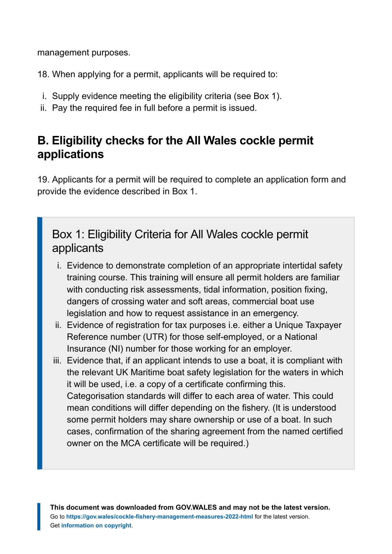management purposes.

18. When applying for a permit, applicants will be required to:

- i. Supply evidence meeting the eligibility criteria (see Box 1).
- ii. Pay the required fee in full before a permit is issued.

#### **B. Eligibility checks for the All Wales cockle permit applications**

19. Applicants for a permit will be required to complete an application form and provide the evidence described in Box 1.

#### Box 1: Eligibility Criteria for All Wales cockle permit applicants

- i. Evidence to demonstrate completion of an appropriate intertidal safety training course. This training will ensure all permit holders are familiar with conducting risk assessments, tidal information, position fixing, dangers of crossing water and soft areas, commercial boat use legislation and how to request assistance in an emergency.
- ii. Evidence of registration for tax purposes i.e. either a Unique Taxpayer Reference number (UTR) for those self-employed, or a National Insurance (NI) number for those working for an employer.
- iii. Evidence that, if an applicant intends to use a boat, it is compliant with the relevant UK Maritime boat safety legislation for the waters in which it will be used, i.e. a copy of a certificate confirming this. Categorisation standards will differ to each area of water. This could mean conditions will differ depending on the fishery. (It is understood some permit holders may share ownership or use of a boat. In such cases, confirmation of the sharing agreement from the named certified owner on the MCA certificate will be required.)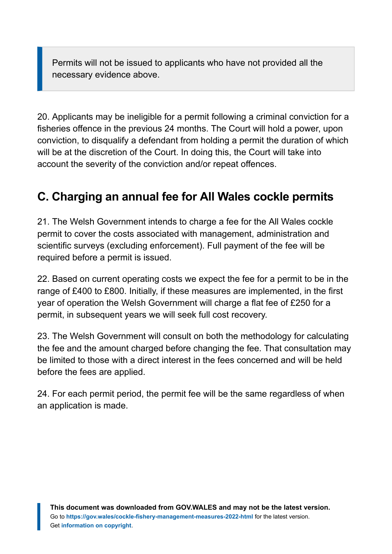Permits will not be issued to applicants who have not provided all the necessary evidence above.

20. Applicants may be ineligible for a permit following a criminal conviction for a fisheries offence in the previous 24 months. The Court will hold a power, upon conviction, to disqualify a defendant from holding a permit the duration of which will be at the discretion of the Court. In doing this, the Court will take into account the severity of the conviction and/or repeat offences.

### **C. Charging an annual fee for All Wales cockle permits**

21. The Welsh Government intends to charge a fee for the All Wales cockle permit to cover the costs associated with management, administration and scientific surveys (excluding enforcement). Full payment of the fee will be required before a permit is issued.

22. Based on current operating costs we expect the fee for a permit to be in the range of £400 to £800. Initially, if these measures are implemented, in the first year of operation the Welsh Government will charge a flat fee of £250 for a permit, in subsequent years we will seek full cost recovery.

23. The Welsh Government will consult on both the methodology for calculating the fee and the amount charged before changing the fee. That consultation may be limited to those with a direct interest in the fees concerned and will be held before the fees are applied.

24. For each permit period, the permit fee will be the same regardless of when an application is made.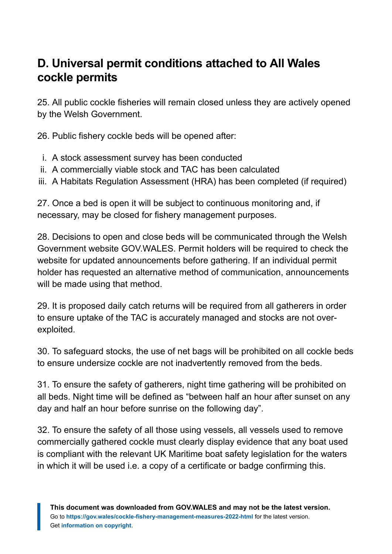#### **D. Universal permit conditions attached to All Wales cockle permits**

25. All public cockle fisheries will remain closed unless they are actively opened by the Welsh Government.

26. Public fishery cockle beds will be opened after:

- i. A stock assessment survey has been conducted
- ii. A commercially viable stock and TAC has been calculated
- iii. A Habitats Regulation Assessment (HRA) has been completed (if required)

27. Once a bed is open it will be subject to continuous monitoring and, if necessary, may be closed for fishery management purposes.

28. Decisions to open and close beds will be communicated through the Welsh Government website GOV.WALES. Permit holders will be required to check the website for updated announcements before gathering. If an individual permit holder has requested an alternative method of communication, announcements will be made using that method.

29. It is proposed daily catch returns will be required from all gatherers in order to ensure uptake of the TAC is accurately managed and stocks are not overexploited.

30. To safeguard stocks, the use of net bags will be prohibited on all cockle beds to ensure undersize cockle are not inadvertently removed from the beds.

31. To ensure the safety of gatherers, night time gathering will be prohibited on all beds. Night time will be defined as "between half an hour after sunset on any day and half an hour before sunrise on the following day".

32. To ensure the safety of all those using vessels, all vessels used to remove commercially gathered cockle must clearly display evidence that any boat used is compliant with the relevant UK Maritime boat safety legislation for the waters in which it will be used i.e. a copy of a certificate or badge confirming this.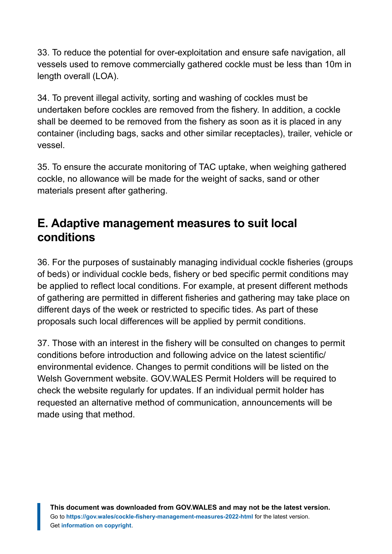33. To reduce the potential for over-exploitation and ensure safe navigation, all vessels used to remove commercially gathered cockle must be less than 10m in length overall (LOA).

34. To prevent illegal activity, sorting and washing of cockles must be undertaken before cockles are removed from the fishery. In addition, a cockle shall be deemed to be removed from the fishery as soon as it is placed in any container (including bags, sacks and other similar receptacles), trailer, vehicle or vessel.

35. To ensure the accurate monitoring of TAC uptake, when weighing gathered cockle, no allowance will be made for the weight of sacks, sand or other materials present after gathering.

#### **E. Adaptive management measures to suit local conditions**

36. For the purposes of sustainably managing individual cockle fisheries (groups of beds) or individual cockle beds, fishery or bed specific permit conditions may be applied to reflect local conditions. For example, at present different methods of gathering are permitted in different fisheries and gathering may take place on different days of the week or restricted to specific tides. As part of these proposals such local differences will be applied by permit conditions.

37. Those with an interest in the fishery will be consulted on changes to permit conditions before introduction and following advice on the latest scientific/ environmental evidence. Changes to permit conditions will be listed on the Welsh Government website. GOV.WALES Permit Holders will be required to check the website regularly for updates. If an individual permit holder has requested an alternative method of communication, announcements will be made using that method.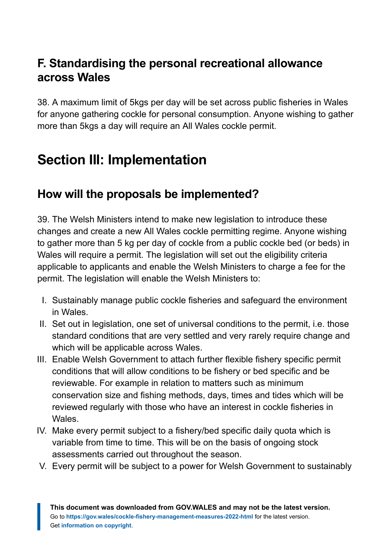#### **F. Standardising the personal recreational allowance across Wales**

38. A maximum limit of 5kgs per day will be set across public fisheries in Wales for anyone gathering cockle for personal consumption. Anyone wishing to gather more than 5kgs a day will require an All Wales cockle permit.

# <span id="page-9-0"></span>**Section III: Implementation**

#### **How will the proposals be implemented?**

39. The Welsh Ministers intend to make new legislation to introduce these changes and create a new All Wales cockle permitting regime. Anyone wishing to gather more than 5 kg per day of cockle from a public cockle bed (or beds) in Wales will require a permit. The legislation will set out the eligibility criteria applicable to applicants and enable the Welsh Ministers to charge a fee for the permit. The legislation will enable the Welsh Ministers to:

- I. Sustainably manage public cockle fisheries and safeguard the environment in Wales.
- II. Set out in legislation, one set of universal conditions to the permit, i.e. those standard conditions that are very settled and very rarely require change and which will be applicable across Wales.
- III. Enable Welsh Government to attach further flexible fishery specific permit conditions that will allow conditions to be fishery or bed specific and be reviewable. For example in relation to matters such as minimum conservation size and fishing methods, days, times and tides which will be reviewed regularly with those who have an interest in cockle fisheries in Wales.
- IV. Make every permit subject to a fishery/bed specific daily quota which is variable from time to time. This will be on the basis of ongoing stock assessments carried out throughout the season.
- V. Every permit will be subject to a power for Welsh Government to sustainably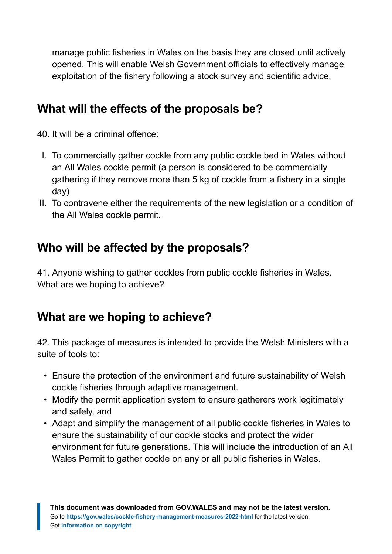manage public fisheries in Wales on the basis they are closed until actively opened. This will enable Welsh Government officials to effectively manage exploitation of the fishery following a stock survey and scientific advice.

#### **What will the effects of the proposals be?**

40. It will be a criminal offence:

- I. To commercially gather cockle from any public cockle bed in Wales without an All Wales cockle permit (a person is considered to be commercially gathering if they remove more than 5 kg of cockle from a fishery in a single day)
- II. To contravene either the requirements of the new legislation or a condition of the All Wales cockle permit.

#### **Who will be affected by the proposals?**

41. Anyone wishing to gather cockles from public cockle fisheries in Wales. What are we hoping to achieve?

#### **What are we hoping to achieve?**

42. This package of measures is intended to provide the Welsh Ministers with a suite of tools to:

- Ensure the protection of the environment and future sustainability of Welsh cockle fisheries through adaptive management.
- Modify the permit application system to ensure gatherers work legitimately and safely, and
- Adapt and simplify the management of all public cockle fisheries in Wales to ensure the sustainability of our cockle stocks and protect the wider environment for future generations. This will include the introduction of an All Wales Permit to gather cockle on any or all public fisheries in Wales.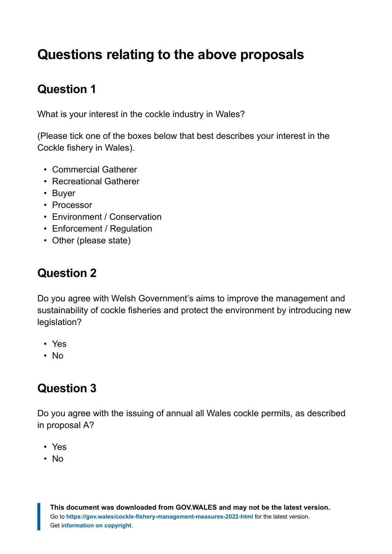# <span id="page-11-0"></span>**Questions relating to the above proposals**

## **Question 1**

What is your interest in the cockle industry in Wales?

(Please tick one of the boxes below that best describes your interest in the Cockle fishery in Wales).

- Commercial Gatherer
- Recreational Gatherer
- Buyer
- Processor
- Environment / Conservation
- Enforcement / Regulation
- Other (please state)

#### **Question 2**

Do you agree with Welsh Government's aims to improve the management and sustainability of cockle fisheries and protect the environment by introducing new legislation?

- Yes
- No

#### **Question 3**

Do you agree with the issuing of annual all Wales cockle permits, as described in proposal A?

- Yes
- No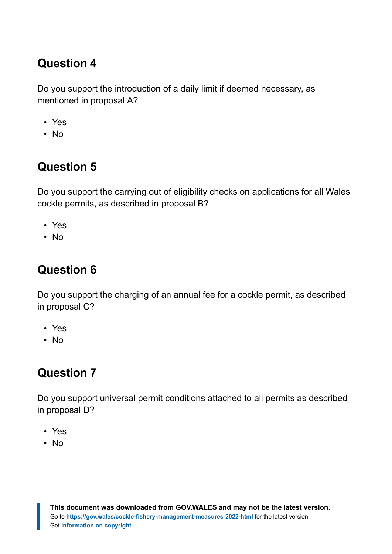#### **Question 4**

Do you support the introduction of a daily limit if deemed necessary, as mentioned in proposal A?

- Yes
- No

## **Question 5**

Do you support the carrying out of eligibility checks on applications for all Wales cockle permits, as described in proposal B?

- Yes
- No

### **Question 6**

Do you support the charging of an annual fee for a cockle permit, as described in proposal C?

- Yes
- No

## **Question 7**

Do you support universal permit conditions attached to all permits as described in proposal D?

- Yes
- No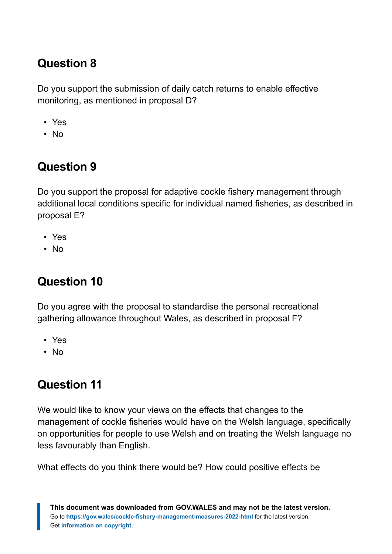#### **Question 8**

Do you support the submission of daily catch returns to enable effective monitoring, as mentioned in proposal D?

- Yes
- No

## **Question 9**

Do you support the proposal for adaptive cockle fishery management through additional local conditions specific for individual named fisheries, as described in proposal E?

- Yes
- No

## **Question 10**

Do you agree with the proposal to standardise the personal recreational gathering allowance throughout Wales, as described in proposal F?

- Yes
- No

## **Question 11**

We would like to know your views on the effects that changes to the management of cockle fisheries would have on the Welsh language, specifically on opportunities for people to use Welsh and on treating the Welsh language no less favourably than English.

What effects do you think there would be? How could positive effects be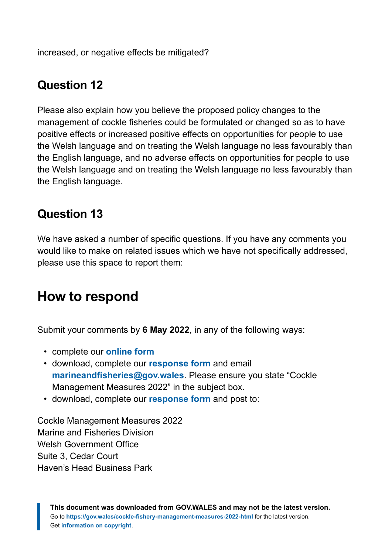increased, or negative effects be mitigated?

#### **Question 12**

Please also explain how you believe the proposed policy changes to the management of cockle fisheries could be formulated or changed so as to have positive effects or increased positive effects on opportunities for people to use the Welsh language and on treating the Welsh language no less favourably than the English language, and no adverse effects on opportunities for people to use the Welsh language and on treating the Welsh language no less favourably than the English language.

#### **Question 13**

We have asked a number of specific questions. If you have any comments you would like to make on related issues which we have not specifically addressed, please use this space to report them:

## <span id="page-14-0"></span>**How to respond**

Submit your comments by **6 May 2022**, in any of the following ways:

- complete our **[online form](https://gov.wales/node/45678/respond-online)**
- download, complete our **[response form](https://gov.wales/sites/default/files/consultations/2022-02/cockle-fishery-management-measures-2022-consultation-response-form.docx)** and email **[marineandfisheries@gov.wales](mailto:marineandfisheries@gov.wales)**. Please ensure you state "Cockle Management Measures 2022" in the subject box.
- download, complete our **[response form](https://gov.wales/sites/default/files/consultations/2022-02/cockle-fishery-management-measures-2022-consultation-response-form.docx)** and post to:

Cockle Management Measures 2022 Marine and Fisheries Division Welsh Government Office Suite 3, Cedar Court Haven's Head Business Park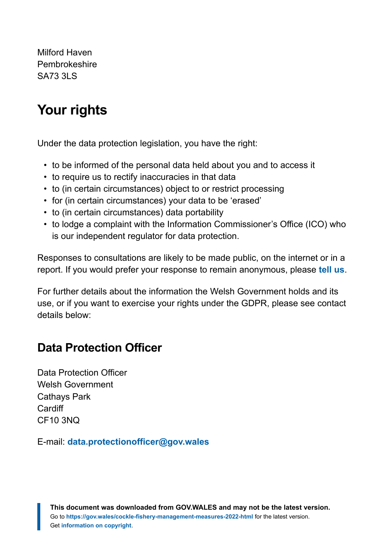Milford Haven Pembrokeshire SA73 3LS

# <span id="page-15-0"></span>**Your rights**

Under the data protection legislation, you have the right:

- to be informed of the personal data held about you and to access it
- to require us to rectify inaccuracies in that data
- to (in certain circumstances) object to or restrict processing
- for (in certain circumstances) your data to be 'erased'
- to (in certain circumstances) data portability
- to lodge a complaint with the Information Commissioner's Office (ICO) who is our independent regulator for data protection.

Responses to consultations are likely to be made public, on the internet or in a report. If you would prefer your response to remain anonymous, please **[tell us](https://gov.wales/cockle-fishery-management-measures-2022)**.

For further details about the information the Welsh Government holds and its use, or if you want to exercise your rights under the GDPR, please see contact details below:

#### **Data Protection Officer**

Data Protection Officer Welsh Government Cathays Park **Cardiff** CF10 3NQ

E-mail: **[data.protectionofficer@gov.wales](mailto:data.protectionofficer@gov.wales)**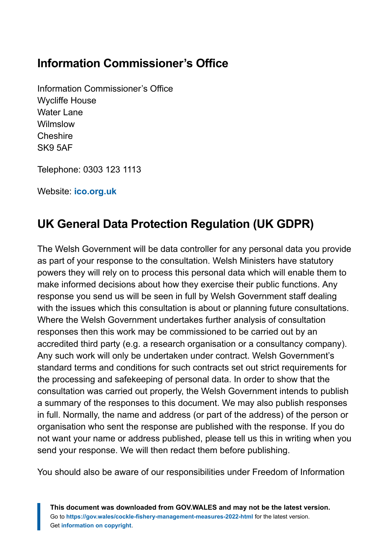#### **Information Commissioner's Office**

Information Commissioner's Office Wycliffe House Water Lane Wilmslow **Cheshire** SK9 5AF

Telephone: 0303 123 1113

Website: **[ico.org.uk](https://ico.org.uk/)**

### **UK General Data Protection Regulation (UK GDPR)**

The Welsh Government will be data controller for any personal data you provide as part of your response to the consultation. Welsh Ministers have statutory powers they will rely on to process this personal data which will enable them to make informed decisions about how they exercise their public functions. Any response you send us will be seen in full by Welsh Government staff dealing with the issues which this consultation is about or planning future consultations. Where the Welsh Government undertakes further analysis of consultation responses then this work may be commissioned to be carried out by an accredited third party (e.g. a research organisation or a consultancy company). Any such work will only be undertaken under contract. Welsh Government's standard terms and conditions for such contracts set out strict requirements for the processing and safekeeping of personal data. In order to show that the consultation was carried out properly, the Welsh Government intends to publish a summary of the responses to this document. We may also publish responses in full. Normally, the name and address (or part of the address) of the person or organisation who sent the response are published with the response. If you do not want your name or address published, please tell us this in writing when you send your response. We will then redact them before publishing.

You should also be aware of our responsibilities under Freedom of Information

**This document was downloaded from GOV.WALES and may not be the latest version.** Go to **<https://gov.wales/cockle-fishery-management-measures-2022-html>** for the latest version. Get **[information on copyright](https://gov.wales/copyright-statement)**.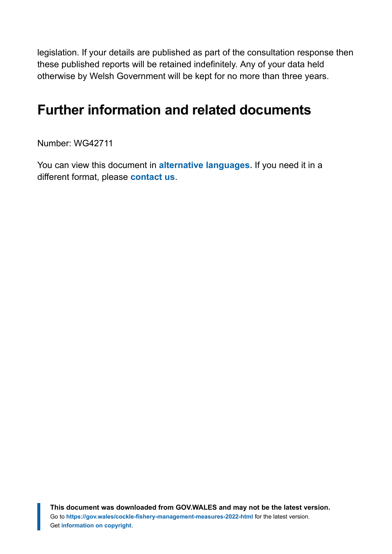legislation. If your details are published as part of the consultation response then these published reports will be retained indefinitely. Any of your data held otherwise by Welsh Government will be kept for no more than three years.

# <span id="page-17-0"></span>**Further information and related documents**

Number: WG42711

You can view this document in **[alternative languages.](https://gov.wales/alternative-languages)** If you need it in a different format, please **[contact us](https://gov.wales/contact-welsh-government)**.

**This document was downloaded from GOV.WALES and may not be the latest version.** Go to **<https://gov.wales/cockle-fishery-management-measures-2022-html>** for the latest version. Get **[information on copyright](https://gov.wales/copyright-statement)**.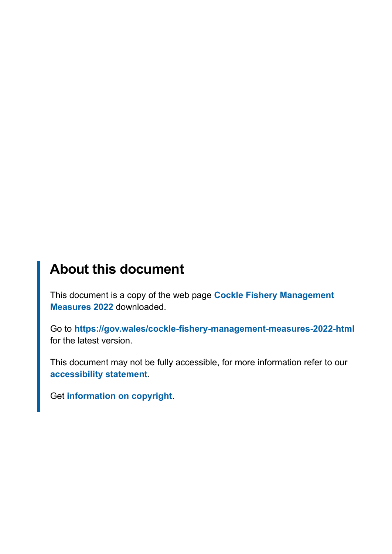# **About this document**

This document is a copy of the web page **[Cockle Fishery Management](https://gov.wales/cockle-fishery-management-measures-2022-html) [Measures 2022](https://gov.wales/cockle-fishery-management-measures-2022-html)** downloaded.

Go to **<https://gov.wales/cockle-fishery-management-measures-2022-html>** for the latest version.

This document may not be fully accessible, for more information refer to our **[accessibility statement](https://gov.wales/accessibility-statement-govwales)**.

Get **[information on copyright](https://gov.wales/copyright-statement)**.